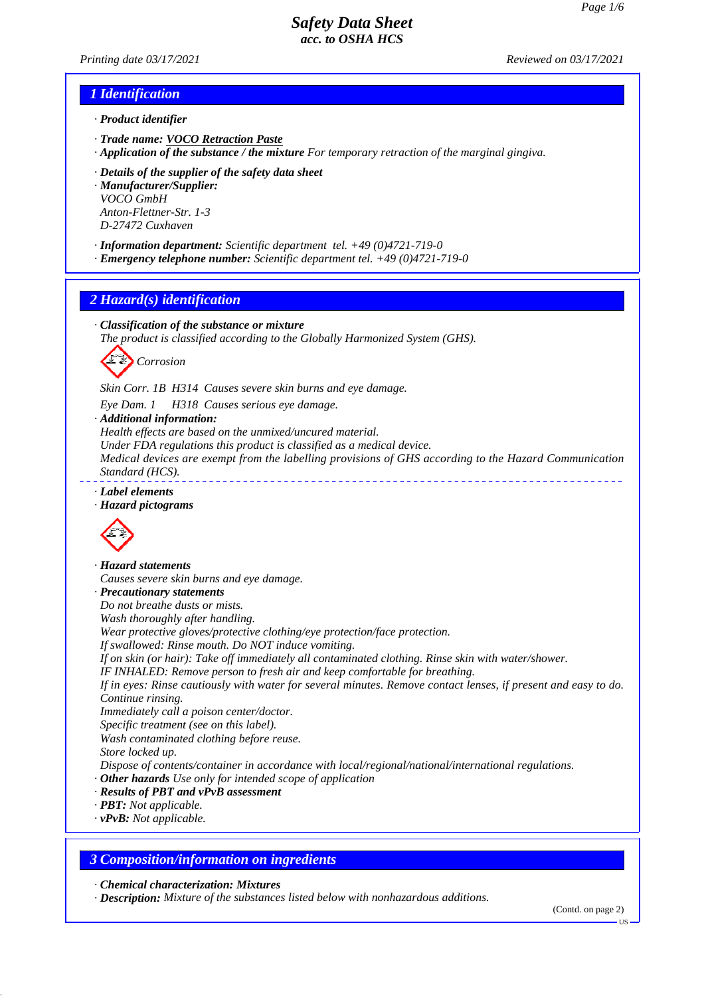*Printing date 03/17/2021 Reviewed on 03/17/2021*

## *1 Identification*

*· Product identifier*

- *· Trade name: VOCO Retraction Paste*
- *· Application of the substance / the mixture For temporary retraction of the marginal gingiva.*
- *· Details of the supplier of the safety data sheet*

*· Manufacturer/Supplier: VOCO GmbH Anton-Flettner-Str. 1-3 D-27472 Cuxhaven*

- *· Information department: Scientific department tel. +49 (0)4721-719-0*
- *· Emergency telephone number: Scientific department tel. +49 (0)4721-719-0*

## *2 Hazard(s) identification*

*· Classification of the substance or mixture*

*The product is classified according to the Globally Harmonized System (GHS).*

*Corrosion*

*Skin Corr. 1B H314 Causes severe skin burns and eye damage.*

*Eye Dam. 1 H318 Causes serious eye damage.*

*· Additional information:*

*Health effects are based on the unmixed/uncured material.*

*Under FDA regulations this product is classified as a medical device.*

*Medical devices are exempt from the labelling provisions of GHS according to the Hazard Communication Standard (HCS).* 

*· Label elements*

#### *· Hazard pictograms*



*· Hazard statements Causes severe skin burns and eye damage. · Precautionary statements Do not breathe dusts or mists. Wash thoroughly after handling. Wear protective gloves/protective clothing/eye protection/face protection. If swallowed: Rinse mouth. Do NOT induce vomiting. If on skin (or hair): Take off immediately all contaminated clothing. Rinse skin with water/shower. IF INHALED: Remove person to fresh air and keep comfortable for breathing. If in eyes: Rinse cautiously with water for several minutes. Remove contact lenses, if present and easy to do. Continue rinsing. Immediately call a poison center/doctor. Specific treatment (see on this label). Wash contaminated clothing before reuse. Store locked up. Dispose of contents/container in accordance with local/regional/national/international regulations. · Other hazards Use only for intended scope of application · Results of PBT and vPvB assessment · PBT: Not applicable. · vPvB: Not applicable.*

## *3 Composition/information on ingredients*

*· Chemical characterization: Mixtures*

*· Description: Mixture of the substances listed below with nonhazardous additions.*

(Contd. on page 2)

US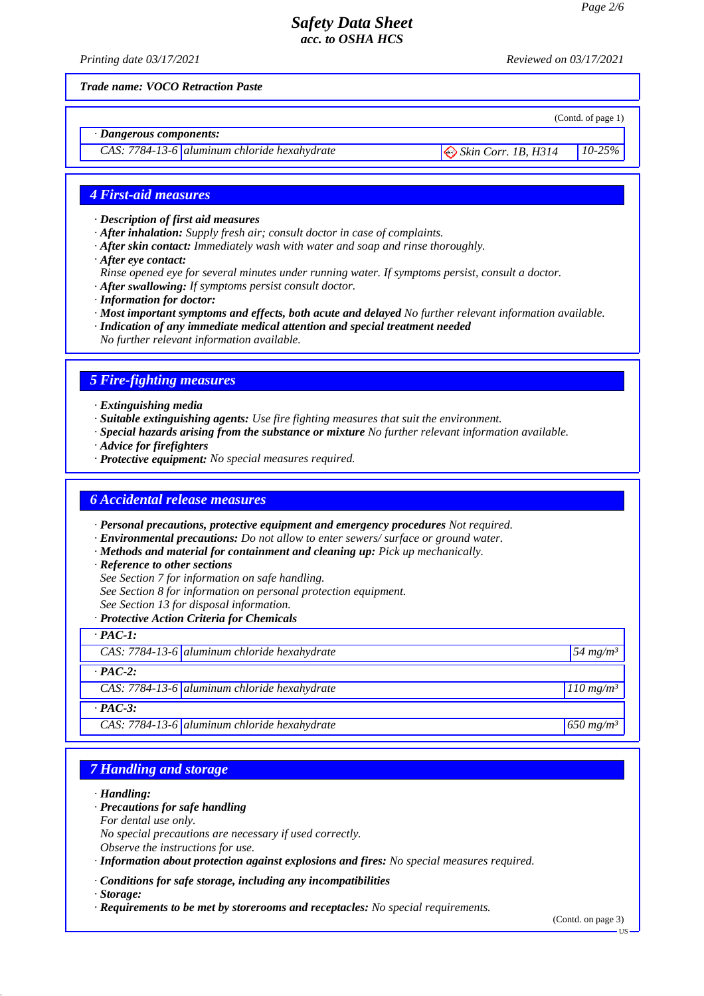*Printing date 03/17/2021 Reviewed on 03/17/2021*

(Contd. of page 1)

*Trade name: VOCO Retraction Paste*

*· Dangerous components:*

*CAS: 7784-13-6 aluminum chloride hexahydrate*  $\bigotimes$  *Skin Corr. 1B, H314* 10-25%

## *4 First-aid measures*

*· Description of first aid measures*

- *· After inhalation: Supply fresh air; consult doctor in case of complaints.*
- *· After skin contact: Immediately wash with water and soap and rinse thoroughly.*
- *· After eye contact:*
- *Rinse opened eye for several minutes under running water. If symptoms persist, consult a doctor.*
- *· After swallowing: If symptoms persist consult doctor.*
- *· Information for doctor:*
- *· Most important symptoms and effects, both acute and delayed No further relevant information available.*
- *· Indication of any immediate medical attention and special treatment needed*

*No further relevant information available.*

## *5 Fire-fighting measures*

*· Extinguishing media*

- *· Suitable extinguishing agents: Use fire fighting measures that suit the environment.*
- *· Special hazards arising from the substance or mixture No further relevant information available.*
- *· Advice for firefighters*
- *· Protective equipment: No special measures required.*

#### *6 Accidental release measures*

*· Personal precautions, protective equipment and emergency procedures Not required.*

- *· Environmental precautions: Do not allow to enter sewers/ surface or ground water.*
- *· Methods and material for containment and cleaning up: Pick up mechanically.*
- *· Reference to other sections*
- *See Section 7 for information on safe handling.*
- *See Section 8 for information on personal protection equipment.*
- *See Section 13 for disposal information.*
- *· Protective Action Criteria for Chemicals*

 $\overline{PAC-1}$ 

| .              |                                                |                         |  |  |
|----------------|------------------------------------------------|-------------------------|--|--|
|                | CAS: $7784-13-6$ aluminum chloride hexahydrate | $54 \text{ mg/m}^3$     |  |  |
| $\cdot$ PAC-2: |                                                |                         |  |  |
|                | CAS: $7784-13-6$ aluminum chloride hexahydrate | $110$ mg/m <sup>3</sup> |  |  |
| $\cdot$ PAC-3: |                                                |                         |  |  |
|                | CAS: $7784-13-6$ aluminum chloride hexahydrate | $650$ mg/m <sup>3</sup> |  |  |

# *7 Handling and storage*

*· Handling:*

- *· Precautions for safe handling*
- *For dental use only.*

*No special precautions are necessary if used correctly.*

*Observe the instructions for use.*

*· Information about protection against explosions and fires: No special measures required.*

*· Conditions for safe storage, including any incompatibilities*

*· Storage:*

*· Requirements to be met by storerooms and receptacles: No special requirements.*

(Contd. on page 3)

US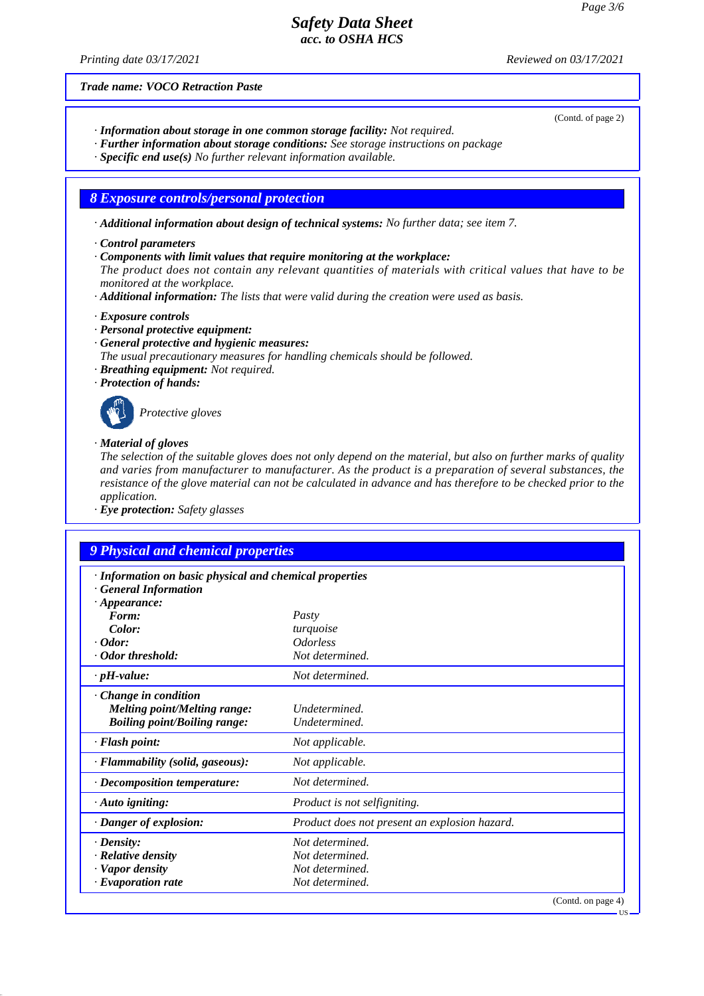*Printing date 03/17/2021 Reviewed on 03/17/2021*

(Contd. of page 2)

*Trade name: VOCO Retraction Paste*

- *· Information about storage in one common storage facility: Not required.*
- *· Further information about storage conditions: See storage instructions on package*
- *· Specific end use(s) No further relevant information available.*

#### *8 Exposure controls/personal protection*

*· Additional information about design of technical systems: No further data; see item 7.*

- *· Control parameters*
- *· Components with limit values that require monitoring at the workplace:*

*The product does not contain any relevant quantities of materials with critical values that have to be monitored at the workplace.*

*· Additional information: The lists that were valid during the creation were used as basis.*

*· Exposure controls*

- *· Personal protective equipment:*
- *· General protective and hygienic measures:*
- *The usual precautionary measures for handling chemicals should be followed.*
- *· Breathing equipment: Not required.*
- *· Protection of hands:*



*Protective gloves*

#### *· Material of gloves*

*The selection of the suitable gloves does not only depend on the material, but also on further marks of quality and varies from manufacturer to manufacturer. As the product is a preparation of several substances, the resistance of the glove material can not be calculated in advance and has therefore to be checked prior to the application.*

*· Eye protection: Safety glasses*

# *9 Physical and chemical properties*

| · Information on basic physical and chemical properties<br><b>General Information</b>                     |                                               |
|-----------------------------------------------------------------------------------------------------------|-----------------------------------------------|
| $\cdot$ Appearance:                                                                                       |                                               |
| Form:                                                                                                     | Pasty                                         |
| Color:                                                                                                    | turquoise                                     |
| $\cdot$ Odor:                                                                                             | <i><b>Odorless</b></i>                        |
| · Odor threshold:                                                                                         | Not determined.                               |
| $\cdot$ pH-value:                                                                                         | Not determined.                               |
| $\cdot$ Change in condition<br><b>Melting point/Melting range:</b><br><b>Boiling point/Boiling range:</b> | Undetermined.<br>Undetermined.                |
| · Flash point:                                                                                            | Not applicable.                               |
| · Flammability (solid, gaseous):                                                                          | Not applicable.                               |
| $\cdot$ Decomposition temperature:                                                                        | Not determined.                               |
| $\cdot$ Auto igniting:                                                                                    | Product is not selfigniting.                  |
| · Danger of explosion:                                                                                    | Product does not present an explosion hazard. |
| $\cdot$ Density:                                                                                          | Not determined.                               |
| $\cdot$ Relative density                                                                                  | Not determined.                               |
| · Vapor density                                                                                           | Not determined.                               |
| $\cdot$ Evaporation rate                                                                                  | Not determined.                               |
|                                                                                                           | (Contd. on page 4)                            |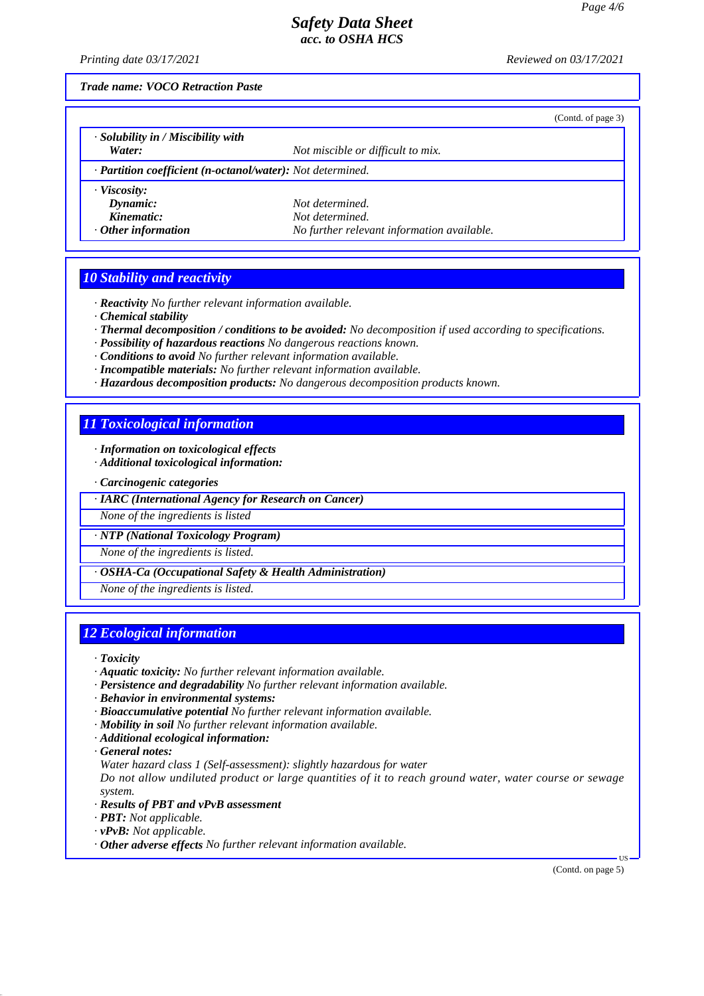*Printing date 03/17/2021 Reviewed on 03/17/2021*

*Trade name: VOCO Retraction Paste*

|                                                            |                                            | (Contd. of page 3) |
|------------------------------------------------------------|--------------------------------------------|--------------------|
| $\cdot$ Solubility in / Miscibility with                   |                                            |                    |
| Water:                                                     | Not miscible or difficult to mix.          |                    |
| · Partition coefficient (n-octanol/water): Not determined. |                                            |                    |
| $\cdot$ Viscosity:                                         |                                            |                    |
| Dynamic:                                                   | Not determined.                            |                    |
| Kinematic:                                                 | Not determined.                            |                    |
| $\cdot$ Other information                                  | No further relevant information available. |                    |

## *10 Stability and reactivity*

*· Reactivity No further relevant information available.*

*· Chemical stability*

*· Thermal decomposition / conditions to be avoided: No decomposition if used according to specifications.*

- *· Possibility of hazardous reactions No dangerous reactions known.*
- *· Conditions to avoid No further relevant information available.*
- *· Incompatible materials: No further relevant information available.*
- *· Hazardous decomposition products: No dangerous decomposition products known.*

# *11 Toxicological information*

*· Information on toxicological effects*

*· Additional toxicological information:*

*· Carcinogenic categories*

*· IARC (International Agency for Research on Cancer)*

*None of the ingredients is listed*

*· NTP (National Toxicology Program)*

*None of the ingredients is listed.*

*· OSHA-Ca (Occupational Safety & Health Administration)*

*None of the ingredients is listed.*

## *12 Ecological information*

*· Toxicity*

- *· Aquatic toxicity: No further relevant information available.*
- *· Persistence and degradability No further relevant information available.*
- *· Behavior in environmental systems:*
- *· Bioaccumulative potential No further relevant information available.*
- *· Mobility in soil No further relevant information available.*
- *· Additional ecological information:*

*· General notes:*

*Water hazard class 1 (Self-assessment): slightly hazardous for water*

*Do not allow undiluted product or large quantities of it to reach ground water, water course or sewage system.*

- *· Results of PBT and vPvB assessment*
- *· PBT: Not applicable.*
- *· vPvB: Not applicable.*
- *· Other adverse effects No further relevant information available.*

(Contd. on page 5)

US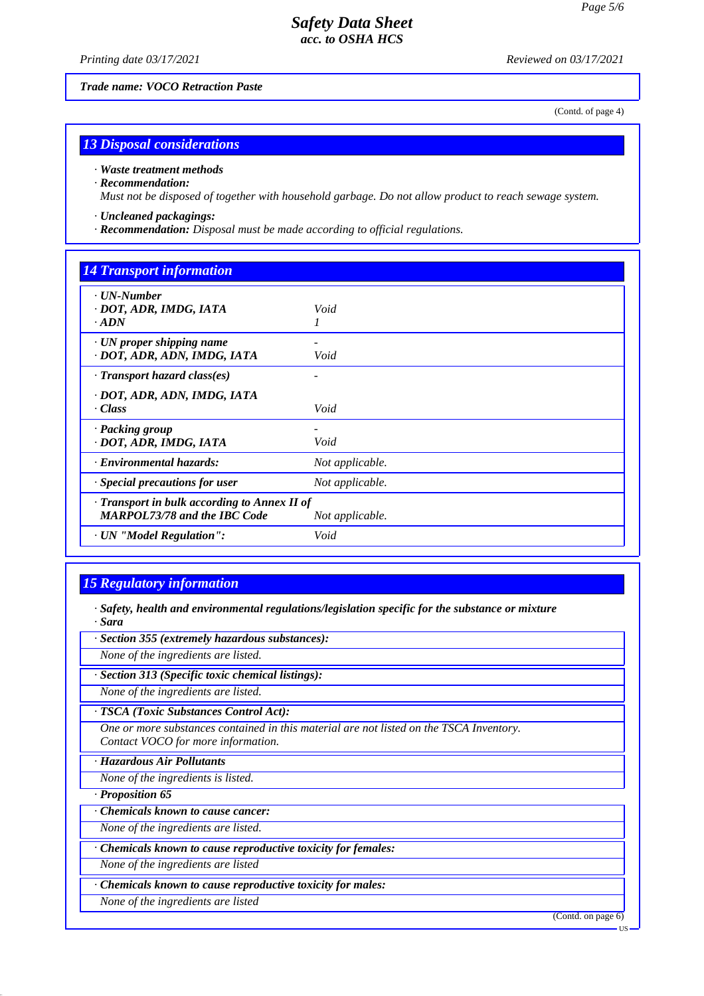*Printing date 03/17/2021 Reviewed on 03/17/2021*

*Trade name: VOCO Retraction Paste*

(Contd. of page 4)

## *13 Disposal considerations*

*· Waste treatment methods*

*· Recommendation:*

*Must not be disposed of together with household garbage. Do not allow product to reach sewage system.*

*· Uncleaned packagings:*

*· Recommendation: Disposal must be made according to official regulations.*

#### *14 Transport information*

| Void                                                            |
|-----------------------------------------------------------------|
| Void                                                            |
|                                                                 |
| Void                                                            |
| Void                                                            |
| Not applicable.                                                 |
| Not applicable.                                                 |
| · Transport in bulk according to Annex II of<br>Not applicable. |
| Void                                                            |
|                                                                 |

## *15 Regulatory information*

*· Safety, health and environmental regulations/legislation specific for the substance or mixture · Sara*

*· Section 355 (extremely hazardous substances):*

*None of the ingredients are listed.*

*· Section 313 (Specific toxic chemical listings):*

*None of the ingredients are listed.*

*· TSCA (Toxic Substances Control Act):*

*One or more substances contained in this material are not listed on the TSCA Inventory. Contact VOCO for more information.*

*· Hazardous Air Pollutants*

*None of the ingredients is listed.*

*· Proposition 65*

*· Chemicals known to cause cancer:*

*None of the ingredients are listed.*

*· Chemicals known to cause reproductive toxicity for females:*

*None of the ingredients are listed*

*· Chemicals known to cause reproductive toxicity for males:*

*None of the ingredients are listed*

(Contd. on page 6)

US